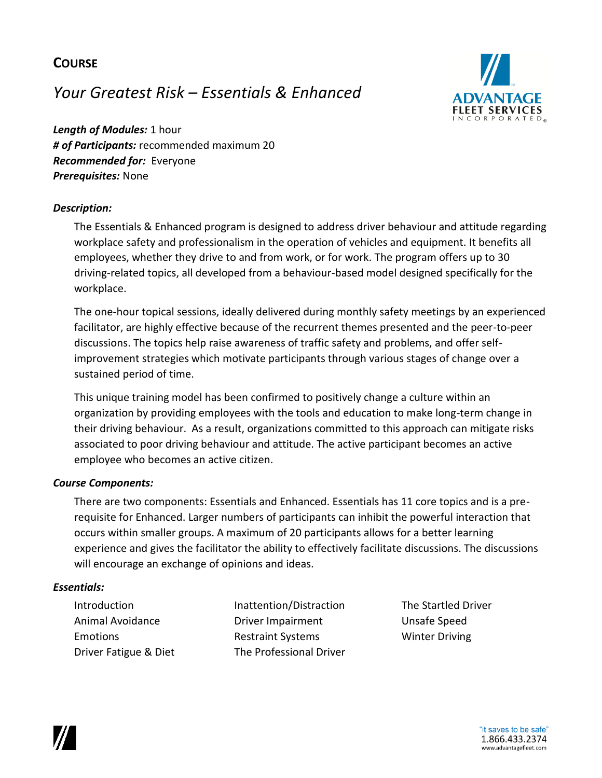# **COURSE**

# *Your Greatest Risk – Essentials & Enhanced*



*Length of Modules:* 1 hour *# of Participants:* recommended maximum 20 *Recommended for:* Everyone *Prerequisites:* None

### *Description:*

The Essentials & Enhanced program is designed to address driver behaviour and attitude regarding workplace safety and professionalism in the operation of vehicles and equipment. It benefits all employees, whether they drive to and from work, or for work. The program offers up to 30 driving-related topics, all developed from a behaviour-based model designed specifically for the workplace.

The one-hour topical sessions, ideally delivered during monthly safety meetings by an experienced facilitator, are highly effective because of the recurrent themes presented and the peer-to-peer discussions. The topics help raise awareness of traffic safety and problems, and offer selfimprovement strategies which motivate participants through various stages of change over a sustained period of time.

This unique training model has been confirmed to positively change a culture within an organization by providing employees with the tools and education to make long-term change in their driving behaviour. As a result, organizations committed to this approach can mitigate risks associated to poor driving behaviour and attitude. The active participant becomes an active employee who becomes an active citizen.

#### *Course Components:*

There are two components: Essentials and Enhanced. Essentials has 11 core topics and is a prerequisite for Enhanced. Larger numbers of participants can inhibit the powerful interaction that occurs within smaller groups. A maximum of 20 participants allows for a better learning experience and gives the facilitator the ability to effectively facilitate discussions. The discussions will encourage an exchange of opinions and ideas.

#### *Essentials:*

Introduction **Inattention/Distraction** The Startled Driver Animal Avoidance **Driver Impairment** Unsafe Speed Emotions **Restraint Systems** Winter Driving Driver Fatigue & Diet The Professional Driver